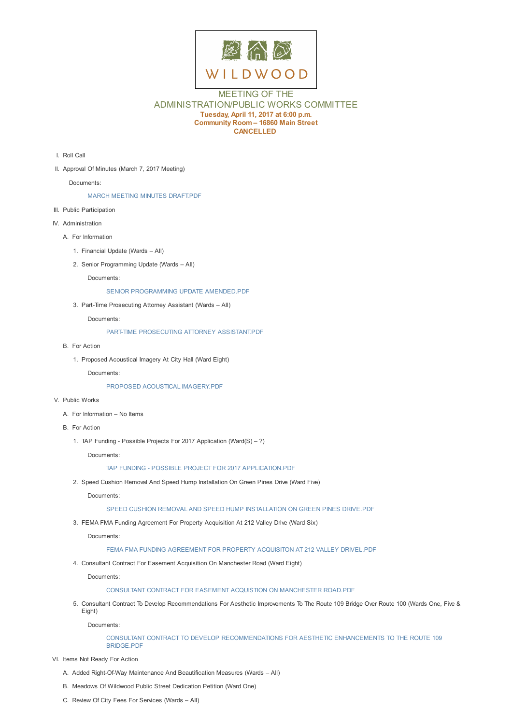

# MEETING OF THE ADMINISTRATION/PUBLIC WORKS COMMITTEE **Tuesday, April 11, 2017 at 6:00 p.m. Community Room – 16860 Main Street CANCELLED**

- I. Roll Call
- II. Approval Of Minutes (March 7, 2017 Meeting)

Documents:

## MARCH MEETING MINUTES DRAFT.PDF

- III. Public Participation
- IV. Administration
	- A. For In[formation](D:/AgendaCenter/ViewFile/Item/10394?fileID=14861)
		- 1. Financial Update (Wards All)
		- 2. Senior Programming Update (Wards All)

Documents:

SENIOR PROGRAMMING UPDATE AMENDED.PDF

3. Part-Time Prosecuting Attorney Assistant (Wards – All)

Documents:

PART-TIME [PROSECUTING](D:/AgendaCenter/ViewFile/Item/10399?fileID=14877) ATTORNEY ASSISTANT.PDF

- B. For Action
	- 1. Proposed Acoustical Imagery At City Hall (Ward Eight)

Docum[ents:](D:/AgendaCenter/ViewFile/Item/10400?fileID=14863)

## PROPOSED ACOUSTICAL IMAGERY.PDF

- V. Public Works
	- A. For Information No Items
	- B. For Action
		- 1. TAP Funding Possible Projects For 2017 Application (Ward(S) ?)

Documents:

### TAP FUNDING - POSSIBLE PROJECT FOR 2017 APPLICATION.PDF

2. Speed Cushion Removal And Speed Hump Installation On Green Pines Drive (Ward Five)

Documents:

#### SPEED CUSHION REMOVAL AND SPEED HUMP [INSTALLATION](D:/AgendaCenter/ViewFile/Item/10406?fileID=14870) ON GREEN PINES DRIVE.PDF

3. FEMA FMA Funding Agreement For Property Acquisition At 212 Valley Drive (Ward Six)

Documents:

## FEMA FMA FUNDING [AGREEMENT](D:/AgendaCenter/ViewFile/Item/10407?fileID=14866) FOR PROPERTY ACQUISITON AT 212 VALLEY DRIVEL.PDF

4. Consultant Contract For Easement Acquisition On Manchester Road (Ward Eight)

Documents:

## CONSULTANT CONTRACT FOR EASEMENT ACQUISTION ON [MANCHESTER](D:/AgendaCenter/ViewFile/Item/10408?fileID=14867) ROAD.PDF

5. Consultant Contract To Develop Recommendations For Aesthetic Improvements To The Route 109 Bridge Over Route 100 (Wards One, Five & Eight)

Documents:

## CONSULTANT CONTRACT TO DEVELOP [RECOMMENDATIONS](D:/AgendaCenter/ViewFile/Item/10409?fileID=14868) FOR AESTHETIC ENHANCEMENTS TO THE ROUTE 109 BRIDGE.PDF

- VI. Items Not Ready For Action
	- A. Added Right-Of-Way Maintenance And Beautification Measures (Wards All)
	- B. Meadows Of Wildwood Public Street [Dedication](D:/AgendaCenter/ViewFile/Item/10410?fileID=14869) Petition (Ward One)
	- C. Review Of City Fees For Services (Wards All)